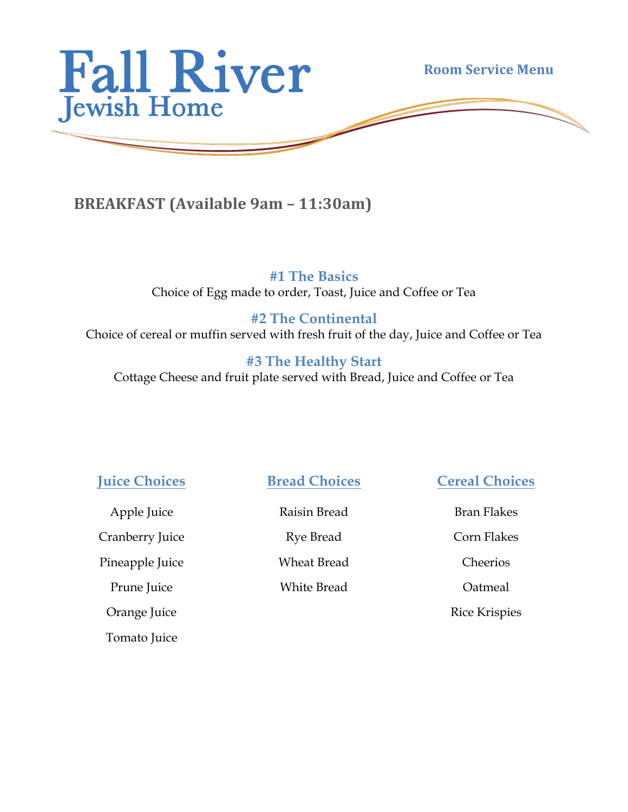

## **BREAKFAST** (Available 9am – 11:30am)

**#1 The Basics** Choice of Egg made to order, Toast, Juice and Coffee or Tea

## **#2 The Continental**

Choice of cereal or muffin served with fresh fruit of the day, Juice and Coffee or Tea

## **#3 The Healthy Start**

Cottage Cheese and fruit plate served with Bread, Juice and Coffee or Tea

**Juice Choices**

Apple Juice Cranberry Juice Pineapple Juice

Prune Juice

Orange Juice

Tomato Juice

**Bread Choices**

Raisin Bread

Rye Bread

Wheat Bread

White Bread

**Cereal Choices**

Bran Flakes

Corn Flakes

Cheerios

Oatmeal

Rice Krispies